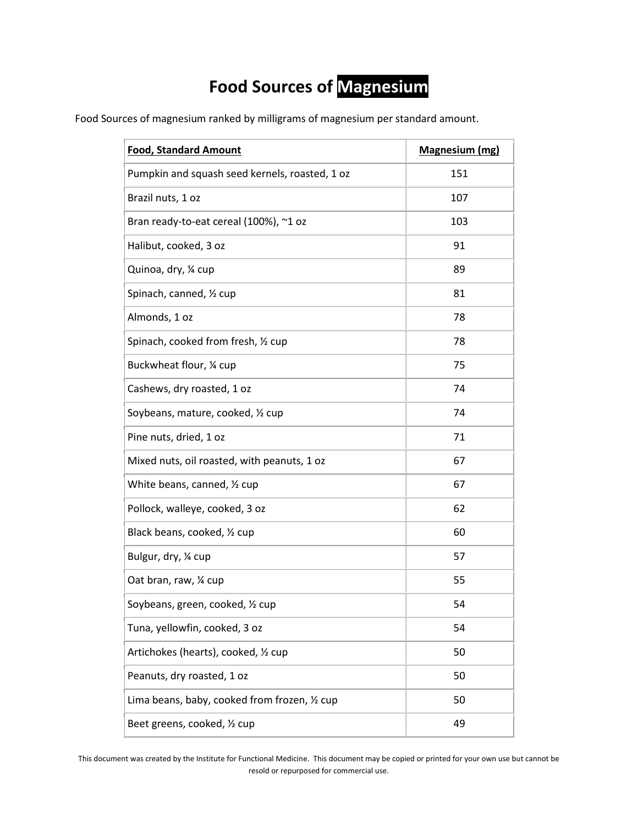## **Food Sources of Magnesium**

Food Sources of magnesium ranked by milligrams of magnesium per standard amount.

| <b>Food, Standard Amount</b>                   | <b>Magnesium (mg)</b> |
|------------------------------------------------|-----------------------|
| Pumpkin and squash seed kernels, roasted, 1 oz | 151                   |
| Brazil nuts, 1 oz                              | 107                   |
| Bran ready-to-eat cereal (100%), ~1 oz         | 103                   |
| Halibut, cooked, 3 oz                          | 91                    |
| Quinoa, dry, 1/4 cup                           | 89                    |
| Spinach, canned, 1/2 cup                       | 81                    |
| Almonds, 1 oz                                  | 78                    |
| Spinach, cooked from fresh, 1/2 cup            | 78                    |
| Buckwheat flour, 1/4 cup                       | 75                    |
| Cashews, dry roasted, 1 oz                     | 74                    |
| Soybeans, mature, cooked, 1/2 cup              | 74                    |
| Pine nuts, dried, 1 oz                         | 71                    |
| Mixed nuts, oil roasted, with peanuts, 1 oz    | 67                    |
| White beans, canned, 1/2 cup                   | 67                    |
| Pollock, walleye, cooked, 3 oz                 | 62                    |
| Black beans, cooked, 1/2 cup                   | 60                    |
| Bulgur, dry, 1/4 cup                           | 57                    |
| Oat bran, raw, 1/4 cup                         | 55                    |
| Soybeans, green, cooked, 1/2 cup               | 54                    |
| Tuna, yellowfin, cooked, 3 oz                  | 54                    |
| Artichokes (hearts), cooked, 1/2 cup           | 50                    |
| Peanuts, dry roasted, 1 oz                     | 50                    |
| Lima beans, baby, cooked from frozen, 1/2 cup  | 50                    |
| Beet greens, cooked, 1/2 cup                   | 49                    |

This document was created by the Institute for Functional Medicine. This document may be copied or printed for your own use but cannot be resold or repurposed for commercial use.